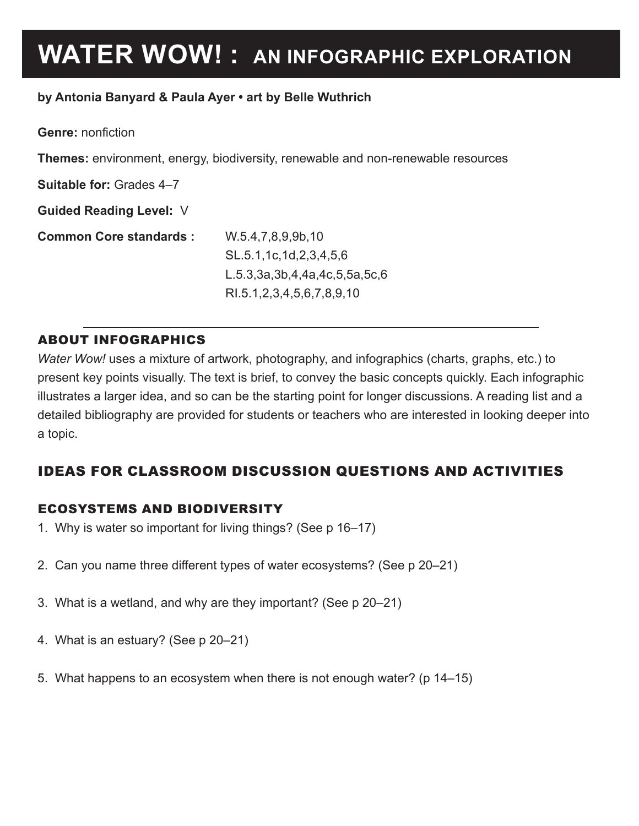# **WATER WOW! : AN INFOGRAPHIC EXPLORATION**

#### **by Antonia Banyard & Paula Ayer • art by Belle Wuthrich**

**Genre:** nonfiction

**Themes:** environment, energy, biodiversity, renewable and non-renewable resources

**Suitable for:** Grades 4–7

**Guided Reading Level:** V

**Common Core standards :** W.5.4,7,8,9,9b,10

SL.5.1,1c,1d,2,3,4,5,6 L.5.3,3a,3b,4,4a,4c,5,5a,5c,6 RI.5.1,2,3,4,5,6,7,8,9,10

#### ABOUT INFOGRAPHICS

*Water Wow!* uses a mixture of artwork, photography, and infographics (charts, graphs, etc.) to present key points visually. The text is brief, to convey the basic concepts quickly. Each infographic illustrates a larger idea, and so can be the starting point for longer discussions. A reading list and a detailed bibliography are provided for students or teachers who are interested in looking deeper into a topic.

## IDEAS FOR CLASSROOM DISCUSSION QUESTIONS AND ACTIVITIES

#### ECOSYSTEMS AND BIODIVERSITY

- 1. Why is water so important for living things? (See p 16–17)
- 2. Can you name three different types of water ecosystems? (See p 20–21)
- 3. What is a wetland, and why are they important? (See p 20–21)
- 4. What is an estuary? (See p 20–21)
- 5. What happens to an ecosystem when there is not enough water? (p 14–15)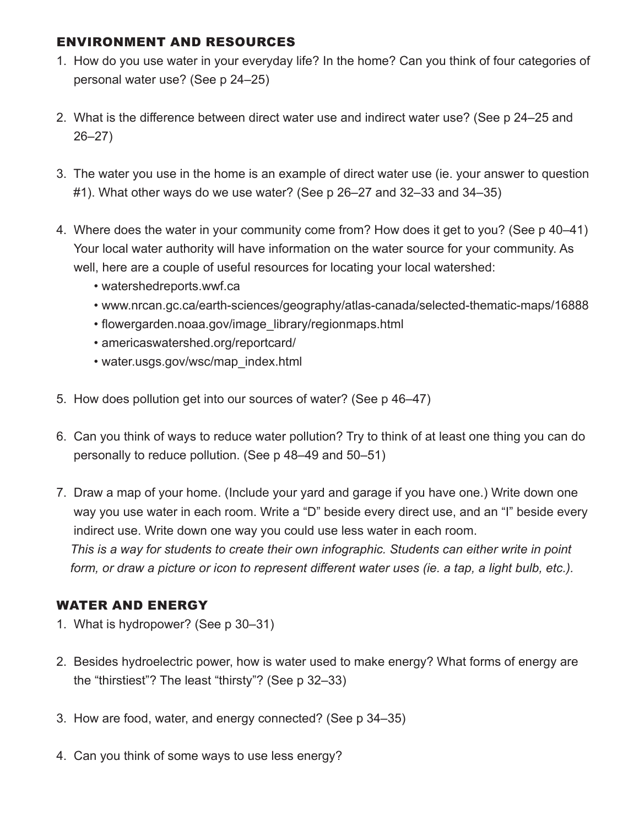### ENVIRONMENT AND RESOURCES

- 1. How do you use water in your everyday life? In the home? Can you think of four categories of personal water use? (See p 24–25)
- 2. What is the difference between direct water use and indirect water use? (See p 24–25 and 26–27)
- 3. The water you use in the home is an example of direct water use (ie. your answer to question #1). What other ways do we use water? (See p 26–27 and 32–33 and 34–35)
- 4. Where does the water in your community come from? How does it get to you? (See p 40–41) Your local water authority will have information on the water source for your community. As well, here are a couple of useful resources for locating your local watershed:
	- watershedreports.wwf.ca
	- www.nrcan.gc.ca/earth-sciences/geography/atlas-canada/selected-thematic-maps/16888
	- flowergarden.noaa.gov/image\_library/regionmaps.html
	- americaswatershed.org/reportcard/
	- water.usgs.gov/wsc/map\_index.html
- 5. How does pollution get into our sources of water? (See p 46–47)
- 6. Can you think of ways to reduce water pollution? Try to think of at least one thing you can do personally to reduce pollution. (See p 48–49 and 50–51)
- 7. Draw a map of your home. (Include your yard and garage if you have one.) Write down one way you use water in each room. Write a "D" beside every direct use, and an "I" beside every indirect use. Write down one way you could use less water in each room. *This is a way for students to create their own infographic. Students can either write in point*  form, or draw a picture or icon to represent different water uses (ie. a tap, a light bulb, etc.).

## WATER AND ENERGY

- 1. What is hydropower? (See p 30–31)
- 2. Besides hydroelectric power, how is water used to make energy? What forms of energy are the "thirstiest"? The least "thirsty"? (See p 32–33)
- 3. How are food, water, and energy connected? (See p 34–35)
- 4. Can you think of some ways to use less energy?